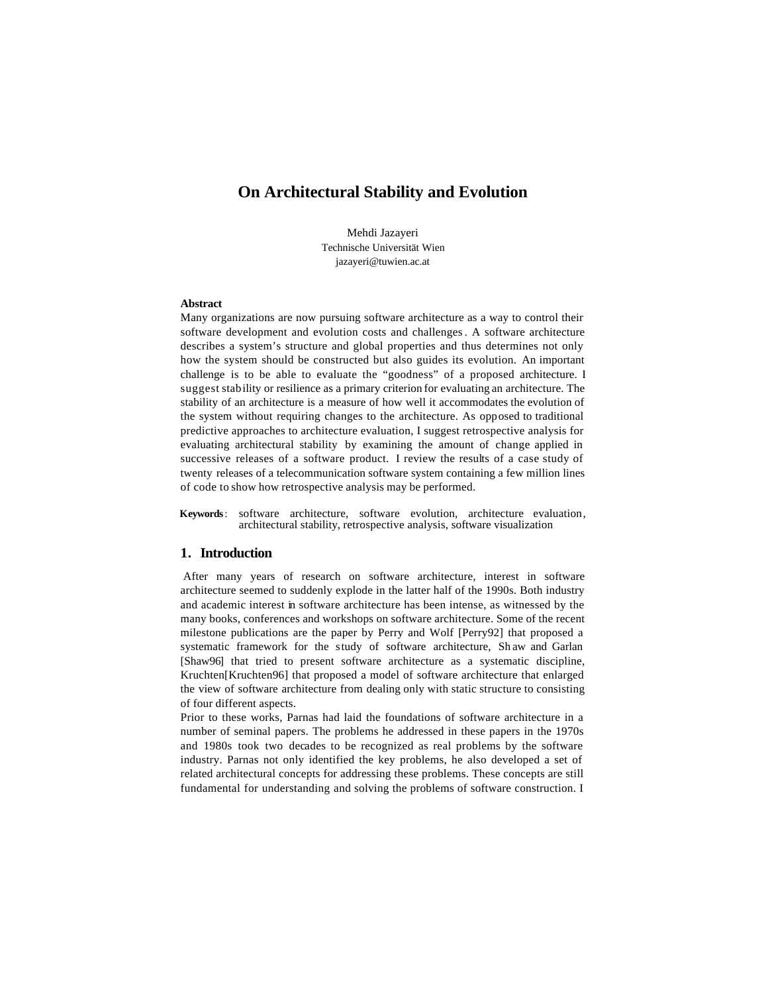# **On Architectural Stability and Evolution**

Mehdi Jazayeri Technische Universität Wien jazayeri@tuwien.ac.at

# **Abstract**

Many organizations are now pursuing software architecture as a way to control their software development and evolution costs and challenges. A software architecture describes a system's structure and global properties and thus determines not only how the system should be constructed but also guides its evolution. An important challenge is to be able to evaluate the "goodness" of a proposed architecture. I suggest stability or resilience as a primary criterion for evaluating an architecture. The stability of an architecture is a measure of how well it accommodates the evolution of the system without requiring changes to the architecture. As opposed to traditional predictive approaches to architecture evaluation, I suggest retrospective analysis for evaluating architectural stability by examining the amount of change applied in successive releases of a software product. I review the results of a case study of twenty releases of a telecommunication software system containing a few million lines of code to show how retrospective analysis may be performed.

**Keywords**: software architecture, software evolution, architecture evaluation, architectural stability, retrospective analysis, software visualization

#### **1. Introduction**

After many years of research on software architecture, interest in software architecture seemed to suddenly explode in the latter half of the 1990s. Both industry and academic interest in software architecture has been intense, as witnessed by the many books, conferences and workshops on software architecture. Some of the recent milestone publications are the paper by Perry and Wolf [Perry92] that proposed a systematic framework for the study of software architecture, Sh aw and Garlan [Shaw96] that tried to present software architecture as a systematic discipline, Kruchten[Kruchten96] that proposed a model of software architecture that enlarged the view of software architecture from dealing only with static structure to consisting of four different aspects.

Prior to these works, Parnas had laid the foundations of software architecture in a number of seminal papers. The problems he addressed in these papers in the 1970s and 1980s took two decades to be recognized as real problems by the software industry. Parnas not only identified the key problems, he also developed a set of related architectural concepts for addressing these problems. These concepts are still fundamental for understanding and solving the problems of software construction. I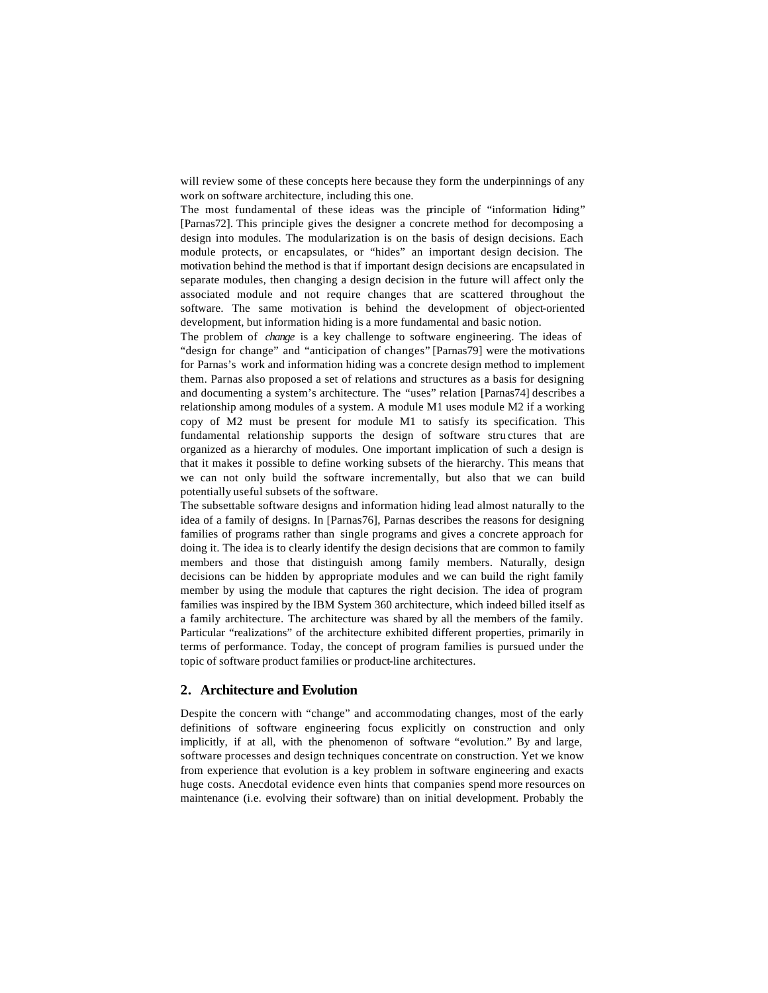will review some of these concepts here because they form the underpinnings of any work on software architecture, including this one.

The most fundamental of these ideas was the principle of "information hiding" [Parnas72]. This principle gives the designer a concrete method for decomposing a design into modules. The modularization is on the basis of design decisions. Each module protects, or encapsulates, or "hides" an important design decision. The motivation behind the method is that if important design decisions are encapsulated in separate modules, then changing a design decision in the future will affect only the associated module and not require changes that are scattered throughout the software. The same motivation is behind the development of object-oriented development, but information hiding is a more fundamental and basic notion.

The problem of *change* is a key challenge to software engineering. The ideas of "design for change" and "anticipation of changes" [Parnas79] were the motivations for Parnas's work and information hiding was a concrete design method to implement them. Parnas also proposed a set of relations and structures as a basis for designing and documenting a system's architecture. The "uses" relation [Parnas74] describes a relationship among modules of a system. A module M1 uses module M2 if a working copy of M2 must be present for module M1 to satisfy its specification. This fundamental relationship supports the design of software stru ctures that are organized as a hierarchy of modules. One important implication of such a design is that it makes it possible to define working subsets of the hierarchy. This means that we can not only build the software incrementally, but also that we can build potentially useful subsets of the software.

The subsettable software designs and information hiding lead almost naturally to the idea of a family of designs. In [Parnas76], Parnas describes the reasons for designing families of programs rather than single programs and gives a concrete approach for doing it. The idea is to clearly identify the design decisions that are common to family members and those that distinguish among family members. Naturally, design decisions can be hidden by appropriate modules and we can build the right family member by using the module that captures the right decision. The idea of program families was inspired by the IBM System 360 architecture, which indeed billed itself as a family architecture. The architecture was shared by all the members of the family. Particular "realizations" of the architecture exhibited different properties, primarily in terms of performance. Today, the concept of program families is pursued under the topic of software product families or product-line architectures.

## **2. Architecture and Evolution**

Despite the concern with "change" and accommodating changes, most of the early definitions of software engineering focus explicitly on construction and only implicitly, if at all, with the phenomenon of software "evolution." By and large, software processes and design techniques concentrate on construction. Yet we know from experience that evolution is a key problem in software engineering and exacts huge costs. Anecdotal evidence even hints that companies spend more resources on maintenance (i.e. evolving their software) than on initial development. Probably the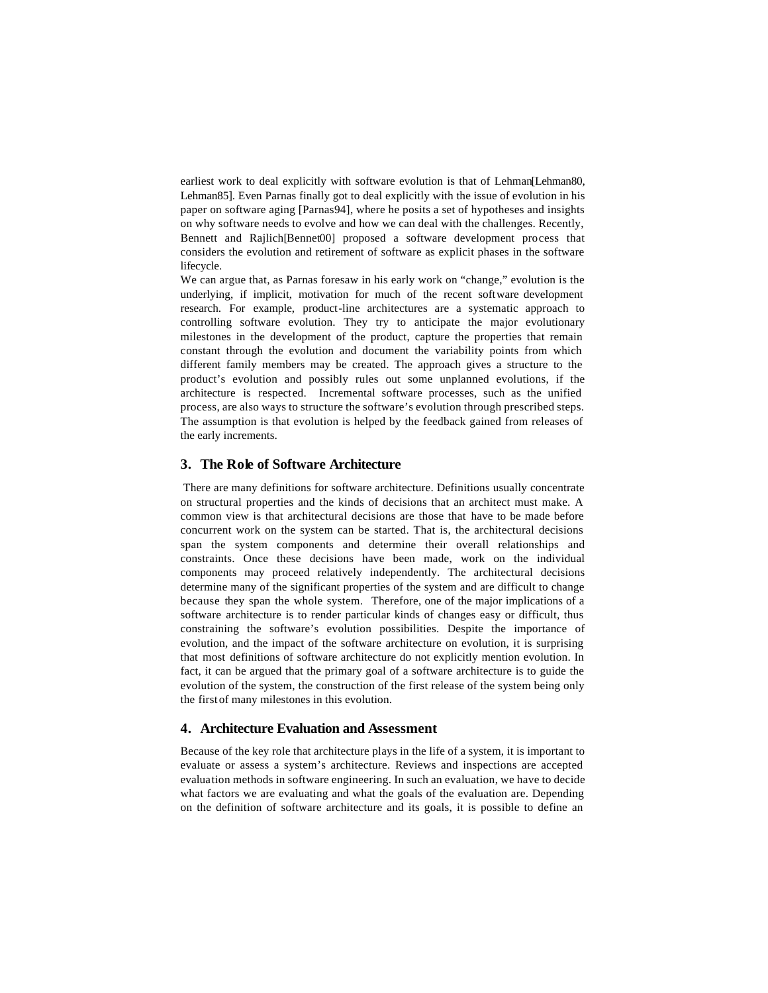earliest work to deal explicitly with software evolution is that of Lehman[Lehman80, Lehman85]. Even Parnas finally got to deal explicitly with the issue of evolution in his paper on software aging [Parnas94], where he posits a set of hypotheses and insights on why software needs to evolve and how we can deal with the challenges. Recently, Bennett and Rajlich[Bennet00] proposed a software development process that considers the evolution and retirement of software as explicit phases in the software lifecycle.

We can argue that, as Parnas foresaw in his early work on "change," evolution is the underlying, if implicit, motivation for much of the recent software development research. For example, product-line architectures are a systematic approach to controlling software evolution. They try to anticipate the major evolutionary milestones in the development of the product, capture the properties that remain constant through the evolution and document the variability points from which different family members may be created. The approach gives a structure to the product's evolution and possibly rules out some unplanned evolutions, if the architecture is respected. Incremental software processes, such as the unified process, are also ways to structure the software's evolution through prescribed steps. The assumption is that evolution is helped by the feedback gained from releases of the early increments.

# **3. The Role of Software Architecture**

There are many definitions for software architecture. Definitions usually concentrate on structural properties and the kinds of decisions that an architect must make. A common view is that architectural decisions are those that have to be made before concurrent work on the system can be started. That is, the architectural decisions span the system components and determine their overall relationships and constraints. Once these decisions have been made, work on the individual components may proceed relatively independently. The architectural decisions determine many of the significant properties of the system and are difficult to change because they span the whole system. Therefore, one of the major implications of a software architecture is to render particular kinds of changes easy or difficult, thus constraining the software's evolution possibilities. Despite the importance of evolution, and the impact of the software architecture on evolution, it is surprising that most definitions of software architecture do not explicitly mention evolution. In fact, it can be argued that the primary goal of a software architecture is to guide the evolution of the system, the construction of the first release of the system being only the first of many milestones in this evolution.

## **4. Architecture Evaluation and Assessment**

Because of the key role that architecture plays in the life of a system, it is important to evaluate or assess a system's architecture. Reviews and inspections are accepted evaluation methods in software engineering. In such an evaluation, we have to decide what factors we are evaluating and what the goals of the evaluation are. Depending on the definition of software architecture and its goals, it is possible to define an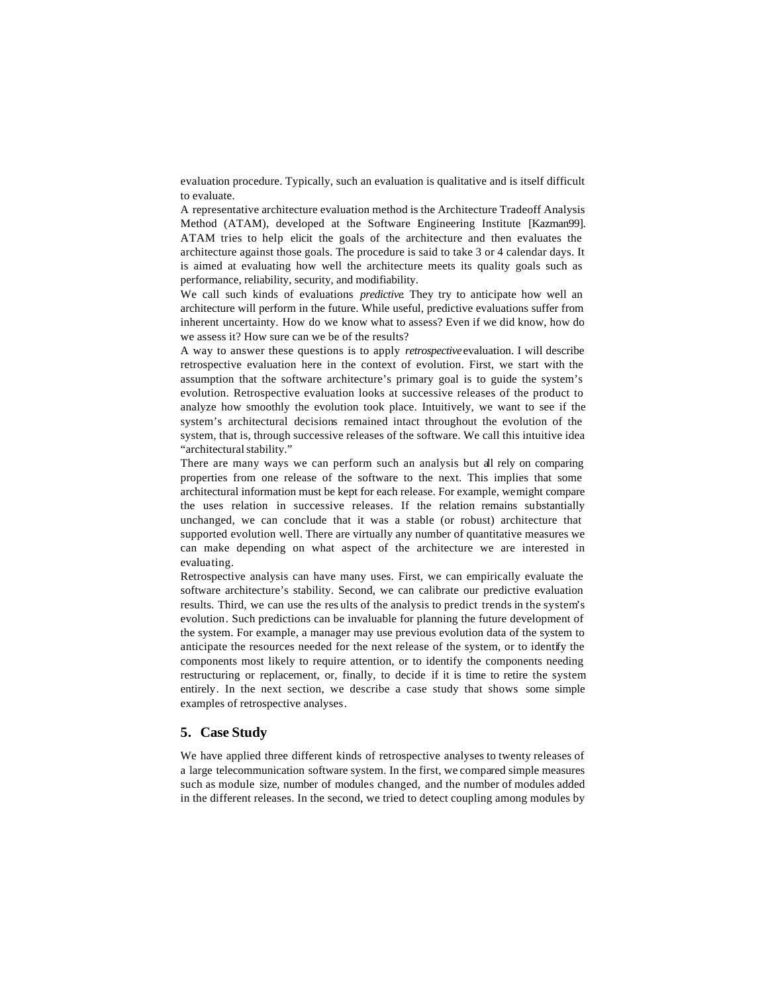evaluation procedure. Typically, such an evaluation is qualitative and is itself difficult to evaluate.

A representative architecture evaluation method is the Architecture Tradeoff Analysis Method (ATAM), developed at the Software Engineering Institute [Kazman99]. ATAM tries to help elicit the goals of the architecture and then evaluates the architecture against those goals. The procedure is said to take 3 or 4 calendar days. It is aimed at evaluating how well the architecture meets its quality goals such as performance, reliability, security, and modifiability.

We call such kinds of evaluations *predictive*. They try to anticipate how well an architecture will perform in the future. While useful, predictive evaluations suffer from inherent uncertainty. How do we know what to assess? Even if we did know, how do we assess it? How sure can we be of the results?

A way to answer these questions is to apply *retrospective* evaluation. I will describe retrospective evaluation here in the context of evolution. First, we start with the assumption that the software architecture's primary goal is to guide the system's evolution. Retrospective evaluation looks at successive releases of the product to analyze how smoothly the evolution took place. Intuitively, we want to see if the system's architectural decisions remained intact throughout the evolution of the system, that is, through successive releases of the software. We call this intuitive idea "architectural stability."

There are many ways we can perform such an analysis but all rely on comparing properties from one release of the software to the next. This implies that some architectural information must be kept for each release. For example, we might compare the uses relation in successive releases. If the relation remains substantially unchanged, we can conclude that it was a stable (or robust) architecture that supported evolution well. There are virtually any number of quantitative measures we can make depending on what aspect of the architecture we are interested in evaluating.

Retrospective analysis can have many uses. First, we can empirically evaluate the software architecture's stability. Second, we can calibrate our predictive evaluation results. Third, we can use the res ults of the analysis to predict trends in the system's evolution. Such predictions can be invaluable for planning the future development of the system. For example, a manager may use previous evolution data of the system to anticipate the resources needed for the next release of the system, or to identify the components most likely to require attention, or to identify the components needing restructuring or replacement, or, finally, to decide if it is time to retire the system entirely. In the next section, we describe a case study that shows some simple examples of retrospective analyses.

## **5. Case Study**

We have applied three different kinds of retrospective analyses to twenty releases of a large telecommunication software system. In the first, we compared simple measures such as module size, number of modules changed, and the number of modules added in the different releases. In the second, we tried to detect coupling among modules by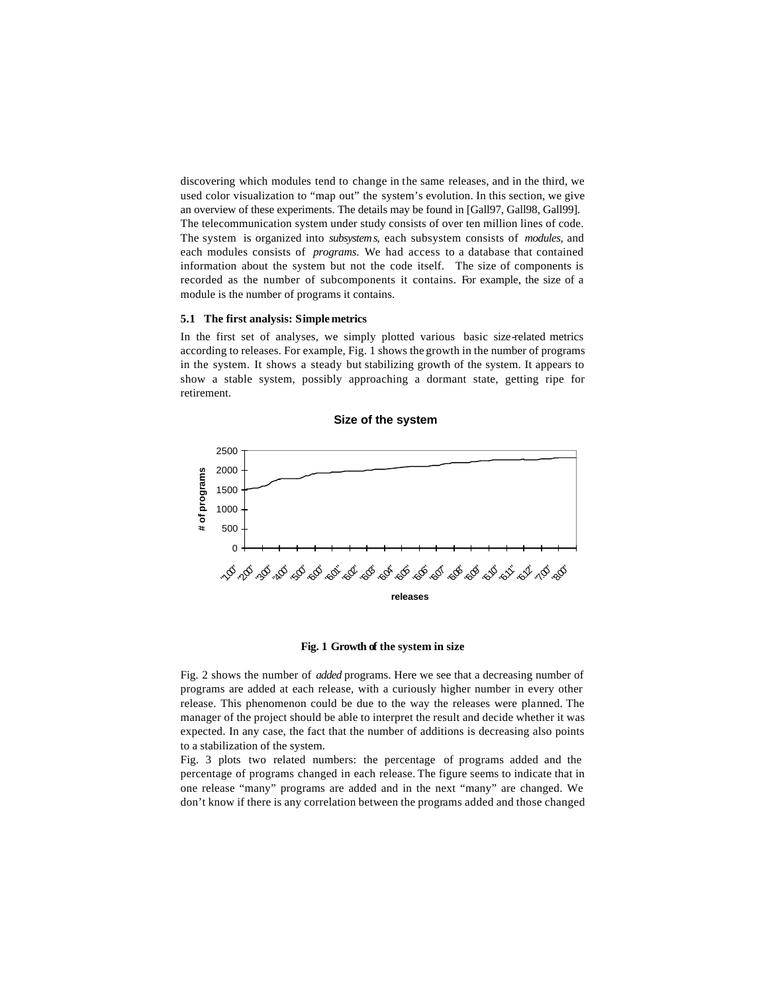discovering which modules tend to change in the same releases, and in the third, we used color visualization to "map out" the system's evolution. In this section, we give an overview of these experiments. The details may be found in [Gall97, Gall98, Gall99]. The telecommunication system under study consists of over ten million lines of code. The system is organized into *subsystems*, each subsystem consists of *modules*, and each modules consists of *programs*. We had access to a database that contained information about the system but not the code itself. The size of components is recorded as the number of subcomponents it contains. For example, the size of a module is the number of programs it contains.

#### **5.1 The first analysis: Simple metrics**

In the first set of analyses, we simply plotted various basic size-related metrics according to releases. For example, Fig. 1 shows the growth in the number of programs in the system. It shows a steady but stabilizing growth of the system. It appears to show a stable system, possibly approaching a dormant state, getting ripe for retirement.



**Size of the system**

# **Fig. 1 Growth of the system in size**

Fig. 2 shows the number of *added* programs. Here we see that a decreasing number of programs are added at each release, with a curiously higher number in every other release. This phenomenon could be due to the way the releases were planned. The manager of the project should be able to interpret the result and decide whether it was expected. In any case, the fact that the number of additions is decreasing also points to a stabilization of the system.

Fig. 3 plots two related numbers: the percentage of programs added and the percentage of programs changed in each release. The figure seems to indicate that in one release "many" programs are added and in the next "many" are changed. We don't know if there is any correlation between the programs added and those changed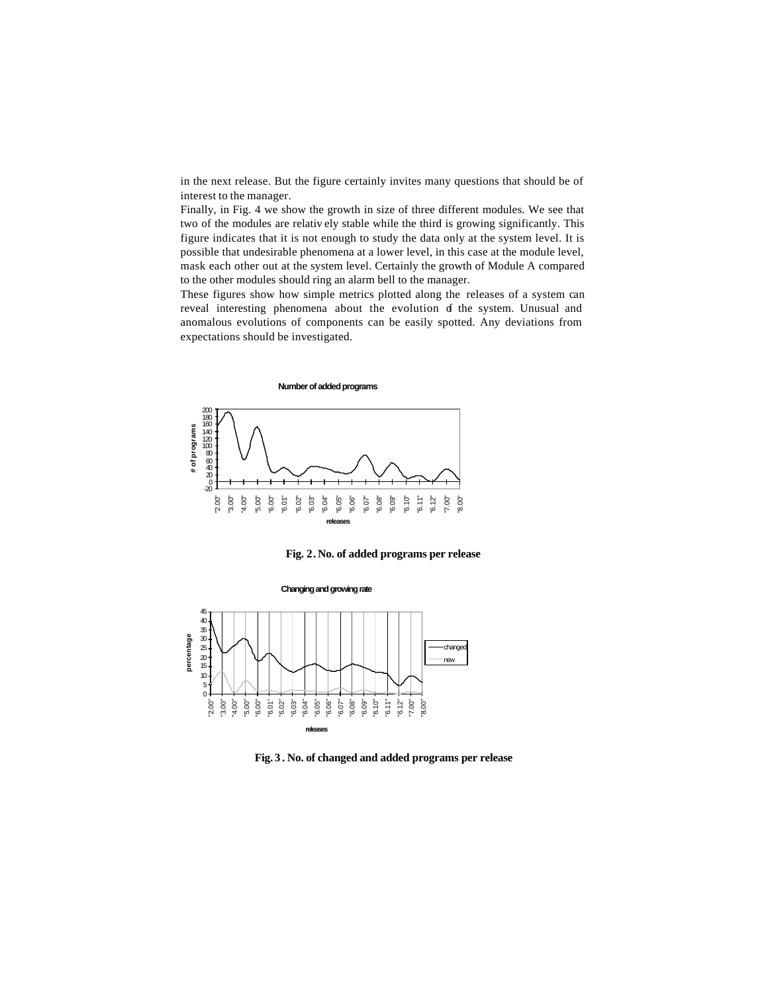in the next release. But the figure certainly invites many questions that should be of interest to the manager.

Finally, in Fig. 4 we show the growth in size of three different modules. We see that two of the modules are relativ ely stable while the third is growing significantly. This figure indicates that it is not enough to study the data only at the system level. It is possible that undesirable phenomena at a lower level, in this case at the module level, mask each other out at the system level. Certainly the growth of Module A compared to the other modules should ring an alarm bell to the manager.

These figures show how simple metrics plotted along the releases of a system can reveal interesting phenomena about the evolution of the system. Unusual and anomalous evolutions of components can be easily spotted. Any deviations from expectations should be investigated.

#### **Number of added programs**



**Fig. 2. No. of added programs per release**



**Fig. 3 . No. of changed and added programs per release**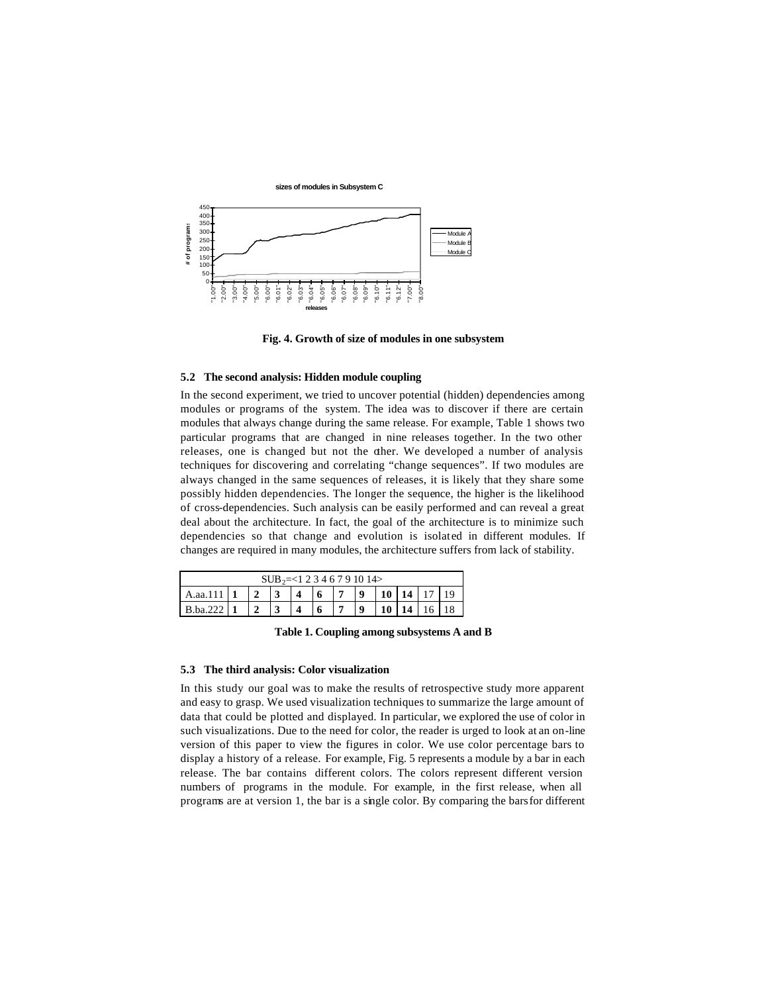

**Fig. 4. Growth of size of modules in one subsystem**

### **5.2 The second analysis: Hidden module coupling**

In the second experiment, we tried to uncover potential (hidden) dependencies among modules or programs of the system. The idea was to discover if there are certain modules that always change during the same release. For example, Table 1 shows two particular programs that are changed in nine releases together. In the two other releases, one is changed but not the other. We developed a number of analysis techniques for discovering and correlating "change sequences". If two modules are always changed in the same sequences of releases, it is likely that they share some possibly hidden dependencies. The longer the sequence, the higher is the likelihood of cross-dependencies. Such analysis can be easily performed and can reveal a great deal about the architecture. In fact, the goal of the architecture is to minimize such dependencies so that change and evolution is isolated in different modules. If changes are required in many modules, the architecture suffers from lack of stability.

| $SUB_2 = < 12346791014$ |  |  |  |   |                |  |                |               |  |               |  |
|-------------------------|--|--|--|---|----------------|--|----------------|---------------|--|---------------|--|
| A.aa.111   $1$          |  |  |  | 4 | $\overline{6}$ |  | $\overline{9}$ |               |  | $10$ 14 17 19 |  |
| B.ba.222 1              |  |  |  |   |                |  | -9             | $10 \quad 14$ |  | 16 18         |  |

**Table 1. Coupling among subsystems A and B**

## **5.3 The third analysis: Color visualization**

In this study our goal was to make the results of retrospective study more apparent and easy to grasp. We used visualization techniques to summarize the large amount of data that could be plotted and displayed. In particular, we explored the use of color in such visualizations. Due to the need for color, the reader is urged to look at an on-line version of this paper to view the figures in color. We use color percentage bars to display a history of a release. For example, Fig. 5 represents a module by a bar in each release. The bar contains different colors. The colors represent different version numbers of programs in the module. For example, in the first release, when all programs are at version 1, the bar is a single color. By comparing the bars for different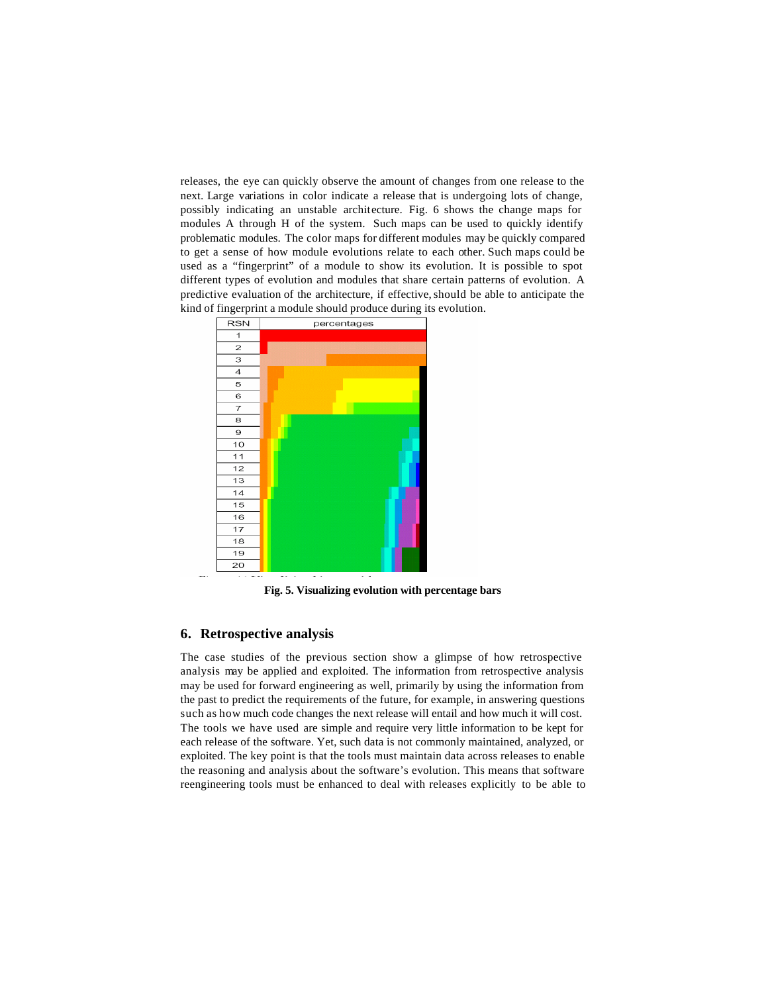releases, the eye can quickly observe the amount of changes from one release to the next. Large variations in color indicate a release that is undergoing lots of change, possibly indicating an unstable architecture. Fig. 6 shows the change maps for modules A through H of the system. Such maps can be used to quickly identify problematic modules. The color maps for different modules may be quickly compared to get a sense of how module evolutions relate to each other. Such maps could be used as a "fingerprint" of a module to show its evolution. It is possible to spot different types of evolution and modules that share certain patterns of evolution. A predictive evaluation of the architecture, if effective, should be able to anticipate the kind of fingerprint a module should produce during its evolution.



**Fig. 5. Visualizing evolution with percentage bars**

# **6. Retrospective analysis**

The case studies of the previous section show a glimpse of how retrospective analysis may be applied and exploited. The information from retrospective analysis may be used for forward engineering as well, primarily by using the information from the past to predict the requirements of the future, for example, in answering questions such as how much code changes the next release will entail and how much it will cost. The tools we have used are simple and require very little information to be kept for each release of the software. Yet, such data is not commonly maintained, analyzed, or exploited. The key point is that the tools must maintain data across releases to enable the reasoning and analysis about the software's evolution. This means that software reengineering tools must be enhanced to deal with releases explicitly to be able to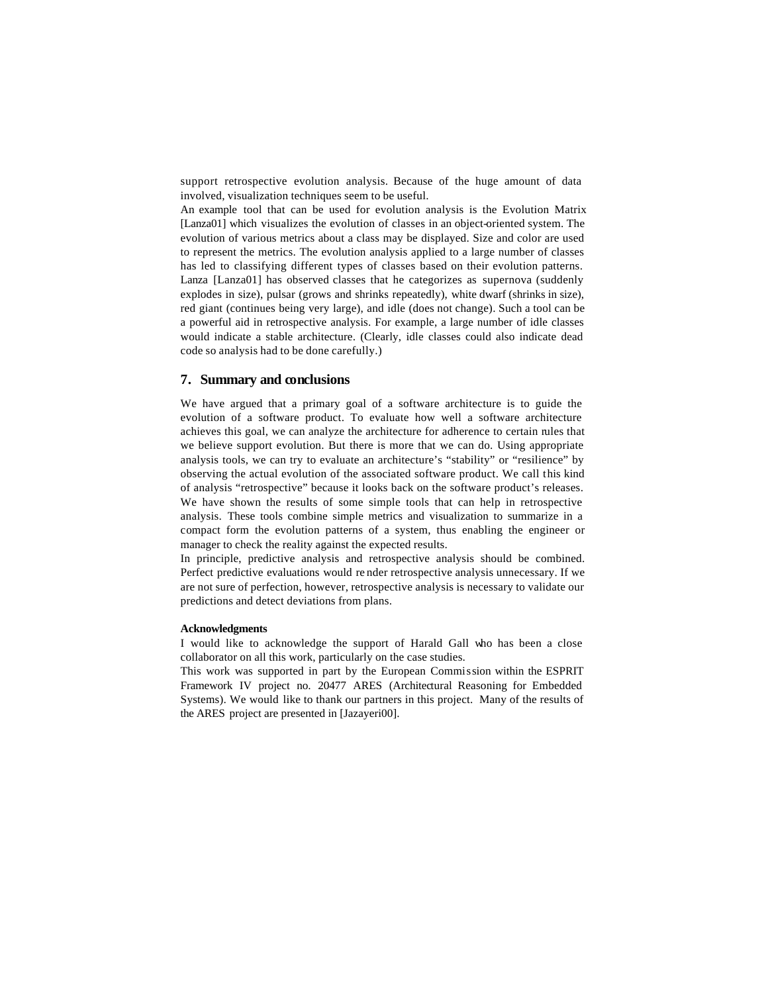support retrospective evolution analysis. Because of the huge amount of data involved, visualization techniques seem to be useful.

An example tool that can be used for evolution analysis is the Evolution Matrix [Lanza01] which visualizes the evolution of classes in an object-oriented system. The evolution of various metrics about a class may be displayed. Size and color are used to represent the metrics. The evolution analysis applied to a large number of classes has led to classifying different types of classes based on their evolution patterns. Lanza [Lanza01] has observed classes that he categorizes as supernova (suddenly explodes in size), pulsar (grows and shrinks repeatedly), white dwarf (shrinks in size), red giant (continues being very large), and idle (does not change). Such a tool can be a powerful aid in retrospective analysis. For example, a large number of idle classes would indicate a stable architecture. (Clearly, idle classes could also indicate dead code so analysis had to be done carefully.)

# **7. Summary and conclusions**

We have argued that a primary goal of a software architecture is to guide the evolution of a software product. To evaluate how well a software architecture achieves this goal, we can analyze the architecture for adherence to certain rules that we believe support evolution. But there is more that we can do. Using appropriate analysis tools, we can try to evaluate an architecture's "stability" or "resilience" by observing the actual evolution of the associated software product. We call this kind of analysis "retrospective" because it looks back on the software product's releases. We have shown the results of some simple tools that can help in retrospective analysis. These tools combine simple metrics and visualization to summarize in a compact form the evolution patterns of a system, thus enabling the engineer or manager to check the reality against the expected results.

In principle, predictive analysis and retrospective analysis should be combined. Perfect predictive evaluations would re nder retrospective analysis unnecessary. If we are not sure of perfection, however, retrospective analysis is necessary to validate our predictions and detect deviations from plans.

#### **Acknowledgments**

I would like to acknowledge the support of Harald Gall who has been a close collaborator on all this work, particularly on the case studies.

This work was supported in part by the European Commission within the ESPRIT Framework IV project no. 20477 ARES (Architectural Reasoning for Embedded Systems). We would like to thank our partners in this project. Many of the results of the ARES project are presented in [Jazayeri00].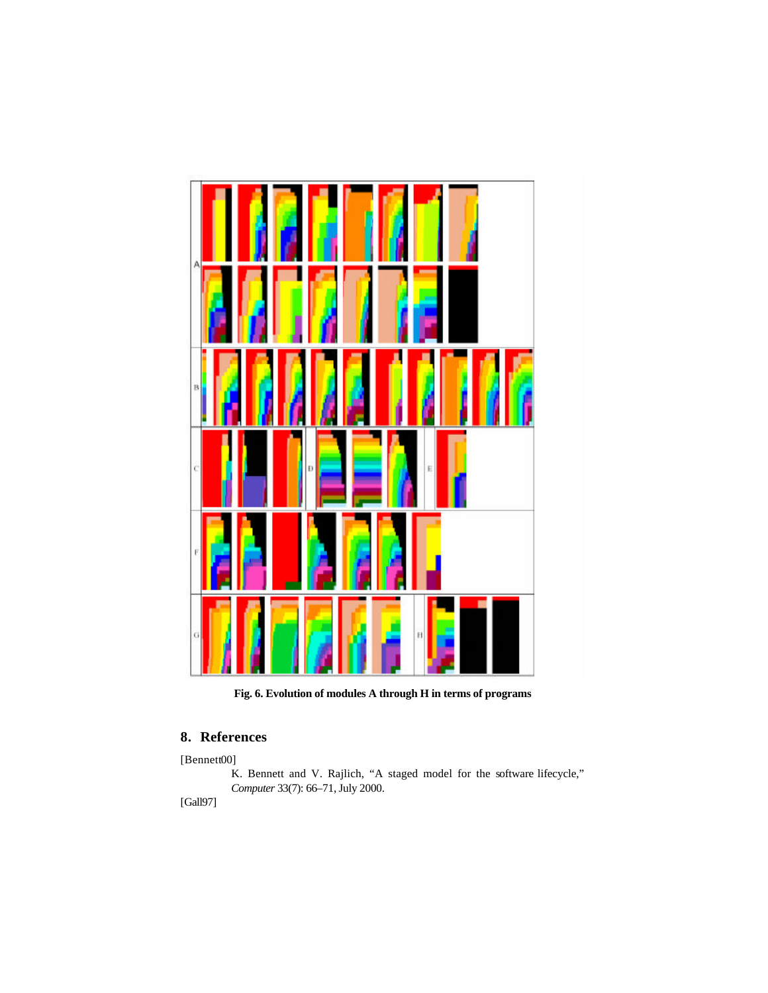

**Fig. 6. Evolution of modules A through H in terms of programs**

# **8. References**

[Bennett00]

K. Bennett and V. Rajlich, "A staged model for the software lifecycle," *Computer* 33(7): 66–71, July 2000.

[Gall97]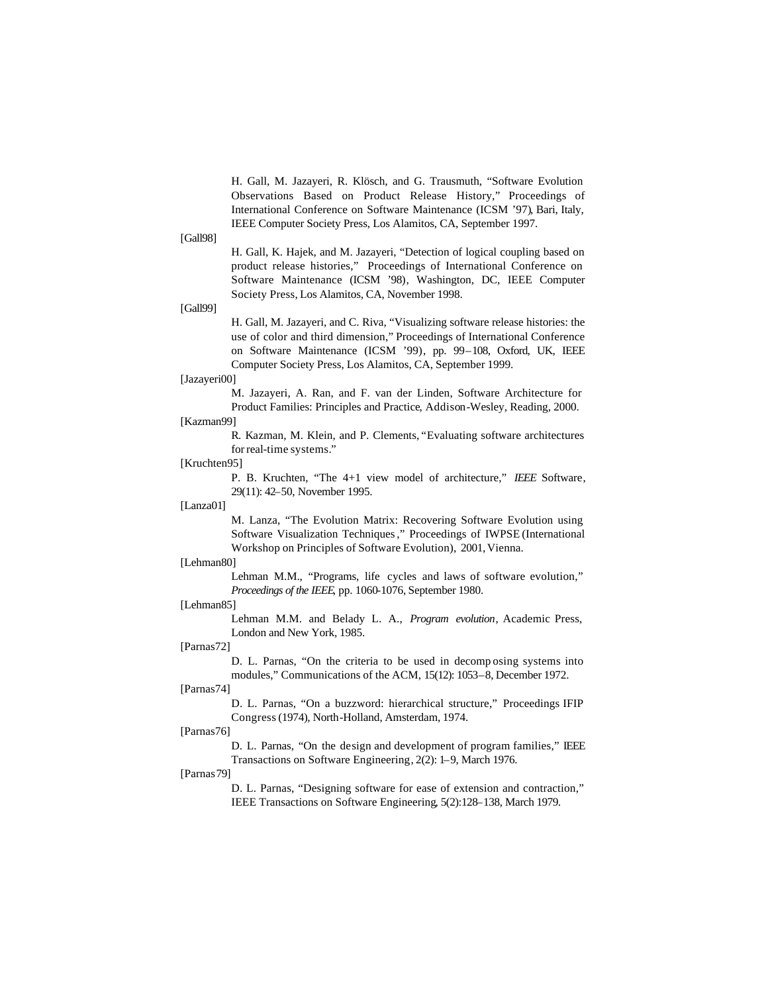H. Gall, M. Jazayeri, R. Klösch, and G. Trausmuth, "Software Evolution Observations Based on Product Release History," Proceedings of International Conference on Software Maintenance (ICSM '97), Bari, Italy, IEEE Computer Society Press, Los Alamitos, CA, September 1997.

#### [Gall98]

H. Gall, K. Hajek, and M. Jazayeri, "Detection of logical coupling based on product release histories," Proceedings of International Conference on Software Maintenance (ICSM '98), Washington, DC, IEEE Computer Society Press, Los Alamitos, CA, November 1998.

[Gall99]

H. Gall, M. Jazayeri, and C. Riva, "Visualizing software release histories: the use of color and third dimension," Proceedings of International Conference on Software Maintenance (ICSM '99), pp. 99–108, Oxford, UK, IEEE Computer Society Press, Los Alamitos, CA, September 1999.

# [Jazayeri00]

M. Jazayeri, A. Ran, and F. van der Linden, Software Architecture for Product Families: Principles and Practice, Addison-Wesley, Reading, 2000.

# [Kazman99]

R. Kazman, M. Klein, and P. Clements, "Evaluating software architectures for real-time systems."

#### [Kruchten95]

P. B. Kruchten, "The 4+1 view model of architecture," *IEEE* Software, 29(11): 42–50, November 1995.

#### [Lanza01]

M. Lanza, "The Evolution Matrix: Recovering Software Evolution using Software Visualization Techniques," Proceedings of IWPSE (International Workshop on Principles of Software Evolution), 2001, Vienna.

#### [Lehman80]

Lehman M.M., "Programs, life cycles and laws of software evolution," *Proceedings of the IEEE*, pp. 1060-1076, September 1980.

#### [Lehman85]

Lehman M.M. and Belady L. A., *Program evolution*, Academic Press, London and New York, 1985.

#### [Parnas72]

D. L. Parnas, "On the criteria to be used in decomp osing systems into modules," Communications of the ACM, 15(12): 1053–8, December 1972.

# [Parnas74]

D. L. Parnas, "On a buzzword: hierarchical structure," Proceedings IFIP Congress (1974), North-Holland, Amsterdam, 1974.

## [Parnas76]

D. L. Parnas, "On the design and development of program families," IEEE Transactions on Software Engineering, 2(2): 1–9, March 1976.

# [Parnas79]

D. L. Parnas, "Designing software for ease of extension and contraction," IEEE Transactions on Software Engineering, 5(2):128–138, March 1979.